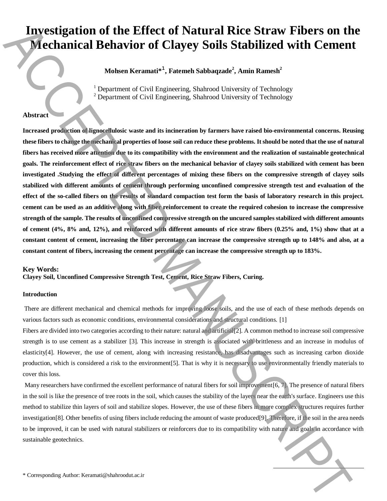# **Investigation of the Effect of Natural Rice Straw Fibers on the Mechanical Behavior of Clayey Soils Stabilized with Cement**

**Mohsen Keramati\* 1 , Fatemeh Sabbaqzade<sup>2</sup> , Amin Ramesh<sup>2</sup>**

<sup>1</sup> Department of Civil Engineering, Shahrood University of Technology  $2$  Department of Civil Engineering, Shahrood University of Technology

# **Abstract**

**Increased production of lignocellulosic waste and its incineration by farmers have raised bio-environmental concerns. Reusing these fibers to change the mechanical properties of loose soil can reduce these problems. It should be noted that the use of natural fibers has received more attention due to its compatibility with the environment and the realization of sustainable geotechnical goals. The reinforcement effect of rice straw fibers on the mechanical behavior of clayey soils stabilized with cement has been investigated .Studying the effect of different percentages of mixing these fibers on the compressive strength of clayey soils stabilized with different amounts of cement through performing unconfined compressive strength test and evaluation of the effect of the so-called fibers on the results of standard compaction test form the basis of laboratory research in this project. cement can be used as an additive along with fiber reinforcement to create the required cohesion to increase the compressive strength of the sample. The results of unconfined compressive strength on the uncured samples stabilized with different amounts of cement (4%, 8% and, 12%), and reinforced with different amounts of rice straw fibers (0.25% and, 1%) show that at a constant content of cement, increasing the fiber percentage can increase the compressive strength up to 148% and also, at a constant content of fibers, increasing the cement percentage can increase the compressive strength up to 183%. IDENTIFICATION OF the Effect of Natural Rice Straw Fibers on the Medicinal Corresponding Author:** Manuscriptical Corresponding Author: Corresponding Author: Corresponding Author: Corresponding Author: Corresponding Autho

#### **Key Words:**

**Clayey Soil, Unconfined Compressive Strength Test, Cement, Rice Straw Fibers, Curing.**

#### **Introduction**

There are different mechanical and chemical methods for improving loose soils, and the use of each of these methods depends on various factors such as economic conditions, environmental considerations and structural conditions. [1]

Fibers are divided into two categories according to their nature: natural and artificial [2]. A common method to increase soil compressive strength is to use cement as a stabilizer [3]. This increase in strength is associated with brittleness and an increase in modulus of elasticity[4]. However, the use of cement, along with increasing resistance, has disadvantages such as increasing carbon dioxide production, which is considered a risk to the environment[5]. That is why it is necessary to use environmentally friendly materials to cover this loss.

Many researchers have confirmed the excellent performance of natural fibers for soil improvement[6, 7]. The presence of natural fibers in the soil is like the presence of tree roots in the soil, which causes the stability of the layers near the earth's surface. Engineers use this method to stabilize thin layers of soil and stabilize slopes. However, the use of these fibers in more complex structures requires further investigation[8]. Other benefits of using fibers include reducing the amount of waste produced[9]. Therefore, if the soil in the area needs to be improved, it can be used with natural stabilizers or reinforcers due to its compatibility with nature and goals in accordance with sustainable geotechnics.

 $\overline{a}$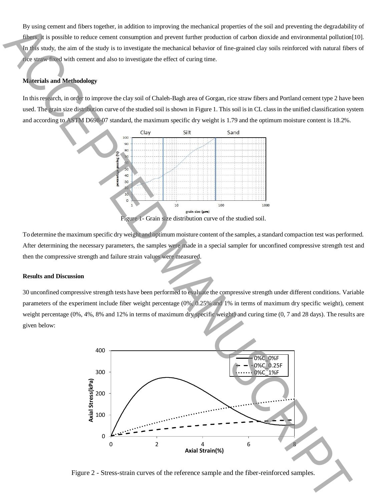By using cement and fibers together, in addition to improving the mechanical properties of the soil and preventing the degradability of fibers, it is possible to reduce cement consumption and prevent further production of carbon dioxide and environmental pollution[10]. In this study, the aim of the study is to investigate the mechanical behavior of fine-grained clay soils reinforced with natural fibers of rice straw fixed with cement and also to investigate the effect of curing time.

# **Materials and Methodology**

In this research, in order to improve the clay soil of Chaleh-Bagh area of Gorgan, rice straw fibers and Portland cement type 2 have been used. The grain size distribution curve of the studied soil is shown in Figure 1. This soil is in CL class in the unified classification system and according to ASTM D698-07 standard, the maximum specific dry weight is 1.79 and the optimum moisture content is 18.2%.



To determine the maximum specific dry weight and optimum moisture content of the samples, a standard compaction test was performed. After determining the necessary parameters, the samples were made in a special sampler for unconfined compressive strength test and then the compressive strength and failure strain values were measured.

## **Results and Discussion**

30 unconfined compressive strength tests have been performed to evaluate the compressive strength under different conditions. Variable parameters of the experiment include fiber weight percentage (0%, 0.25% and 1% in terms of maximum dry specific weight), cement weight percentage (0%, 4%, 8% and 12% in terms of maximum dry specific weight) and curing time (0, 7 and 28 days). The results are given below:



Figure 2 - Stress-strain curves of the reference sample and the fiber-reinforced samples.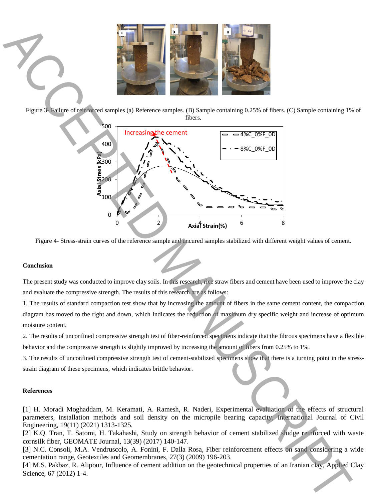

Figure 3- Failure of reinforced samples (a) Reference samples. (B) Sample containing 0.25% of fibers. (C) Sample containing 1% of fibers.



Figure 4- Stress-strain curves of the reference sample and uncured samples stabilized with different weight values of cement.

## **Conclusion**

The present study was conducted to improve clay soils. In this research, rice straw fibers and cement have been used to improve the clay and evaluate the compressive strength. The results of this research are as follows:

1. The results of standard compaction test show that by increasing the amount of fibers in the same cement content, the compaction diagram has moved to the right and down, which indicates the reduction of maximum dry specific weight and increase of optimum moisture content.

2. The results of unconfined compressive strength test of fiber-reinforced specimens indicate that the fibrous specimens have a flexible behavior and the compressive strength is slightly improved by increasing the amount of fibers from 0.25% to 1%.

3. The results of unconfined compressive strength test of cement-stabilized specimens show that there is a turning point in the stressstrain diagram of these specimens, which indicates brittle behavior.

## **References**

[1] H. Moradi Moghaddam, M. Keramati, A. Ramesh, R. Naderi, Experimental evaluation of the effects of structural parameters, installation methods and soil density on the micropile bearing capacity, International Journal of Civil Engineering, 19(11) (2021) 1313-1325.

[2] K.Q. Tran, T. Satomi, H. Takahashi, Study on strength behavior of cement stabilized sludge reinforced with waste cornsilk fiber, GEOMATE Journal, 13(39) (2017) 140-147.

[3] N.C. Consoli, M.A. Vendruscolo, A. Fonini, F. Dalla Rosa, Fiber reinforcement effects on sand considering a wide cementation range, Geotextiles and Geomembranes, 27(3) (2009) 196-203.

[4] M.S. Pakbaz, R. Alipour, Influence of cement addition on the geotechnical properties of an Iranian clay, Applied Clay Science, 67 (2012) 1-4.